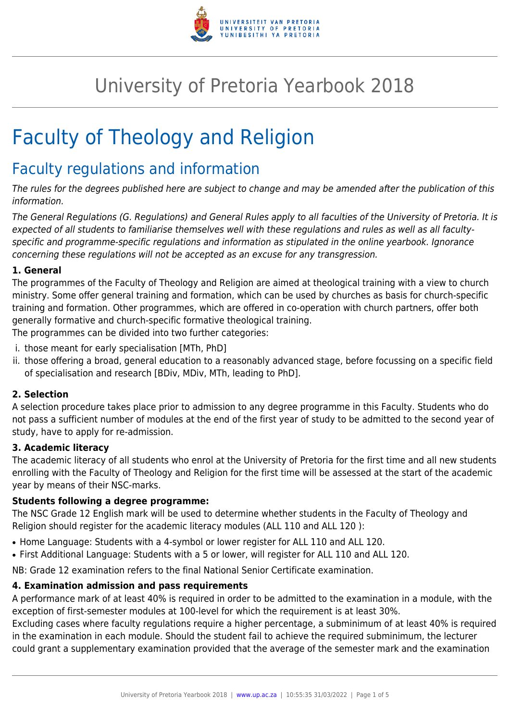

# University of Pretoria Yearbook 2018

# Faculty of Theology and Religion

# Faculty regulations and information

The rules for the degrees published here are subject to change and may be amended after the publication of this information.

The General Regulations (G. Regulations) and General Rules apply to all faculties of the University of Pretoria. It is expected of all students to familiarise themselves well with these regulations and rules as well as all facultyspecific and programme-specific regulations and information as stipulated in the online yearbook. Ignorance concerning these regulations will not be accepted as an excuse for any transgression.

#### **1. General**

The programmes of the Faculty of Theology and Religion are aimed at theological training with a view to church ministry. Some offer general training and formation, which can be used by churches as basis for church-specific training and formation. Other programmes, which are offered in co-operation with church partners, offer both generally formative and church-specific formative theological training.

The programmes can be divided into two further categories:

- i. those meant for early specialisation [MTh, PhD]
- ii. those offering a broad, general education to a reasonably advanced stage, before focussing on a specific field of specialisation and research [BDiv, MDiv, MTh, leading to PhD].

# **2. Selection**

A selection procedure takes place prior to admission to any degree programme in this Faculty. Students who do not pass a sufficient number of modules at the end of the first year of study to be admitted to the second year of study, have to apply for re-admission.

#### **3. Academic literacy**

The academic literacy of all students who enrol at the University of Pretoria for the first time and all new students enrolling with the Faculty of Theology and Religion for the first time will be assessed at the start of the academic year by means of their NSC-marks.

#### **Students following a degree programme:**

The NSC Grade 12 English mark will be used to determine whether students in the Faculty of Theology and Religion should register for the academic literacy modules (ALL 110 and ALL 120 ):

- Home Language: Students with a 4-symbol or lower register for ALL 110 and ALL 120.
- First Additional Language: Students with a 5 or lower, will register for ALL 110 and ALL 120.

NB: Grade 12 examination refers to the final National Senior Certificate examination.

# **4. Examination admission and pass requirements**

A performance mark of at least 40% is required in order to be admitted to the examination in a module, with the exception of first-semester modules at 100-level for which the requirement is at least 30%.

Excluding cases where faculty regulations require a higher percentage, a subminimum of at least 40% is required in the examination in each module. Should the student fail to achieve the required subminimum, the lecturer could grant a supplementary examination provided that the average of the semester mark and the examination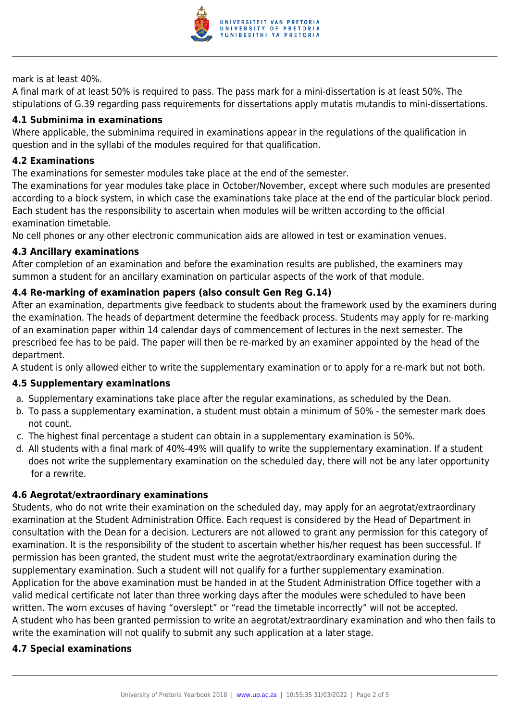

mark is at least 40%.

A final mark of at least 50% is required to pass. The pass mark for a mini-dissertation is at least 50%. The stipulations of G.39 regarding pass requirements for dissertations apply mutatis mutandis to mini-dissertations.

#### **4.1 Subminima in examinations**

Where applicable, the subminima required in examinations appear in the regulations of the qualification in question and in the syllabi of the modules required for that qualification.

#### **4.2 Examinations**

The examinations for semester modules take place at the end of the semester.

The examinations for year modules take place in October/November, except where such modules are presented according to a block system, in which case the examinations take place at the end of the particular block period. Each student has the responsibility to ascertain when modules will be written according to the official examination timetable.

No cell phones or any other electronic communication aids are allowed in test or examination venues.

#### **4.3 Ancillary examinations**

After completion of an examination and before the examination results are published, the examiners may summon a student for an ancillary examination on particular aspects of the work of that module.

# **4.4 Re-marking of examination papers (also consult Gen Reg G.14)**

After an examination, departments give feedback to students about the framework used by the examiners during the examination. The heads of department determine the feedback process. Students may apply for re-marking of an examination paper within 14 calendar days of commencement of lectures in the next semester. The prescribed fee has to be paid. The paper will then be re-marked by an examiner appointed by the head of the department.

A student is only allowed either to write the supplementary examination or to apply for a re-mark but not both.

# **4.5 Supplementary examinations**

- a. Supplementary examinations take place after the regular examinations, as scheduled by the Dean.
- b. To pass a supplementary examination, a student must obtain a minimum of 50% the semester mark does not count.
- c. The highest final percentage a student can obtain in a supplementary examination is 50%.
- d. All students with a final mark of 40%-49% will qualify to write the supplementary examination. If a student does not write the supplementary examination on the scheduled day, there will not be any later opportunity for a rewrite.

#### **4.6 Aegrotat/extraordinary examinations**

Students, who do not write their examination on the scheduled day, may apply for an aegrotat/extraordinary examination at the Student Administration Office. Each request is considered by the Head of Department in consultation with the Dean for a decision. Lecturers are not allowed to grant any permission for this category of examination. It is the responsibility of the student to ascertain whether his/her request has been successful. If permission has been granted, the student must write the aegrotat/extraordinary examination during the supplementary examination. Such a student will not qualify for a further supplementary examination. Application for the above examination must be handed in at the Student Administration Office together with a valid medical certificate not later than three working days after the modules were scheduled to have been written. The worn excuses of having "overslept" or "read the timetable incorrectly" will not be accepted. A student who has been granted permission to write an aegrotat/extraordinary examination and who then fails to write the examination will not qualify to submit any such application at a later stage.

#### **4.7 Special examinations**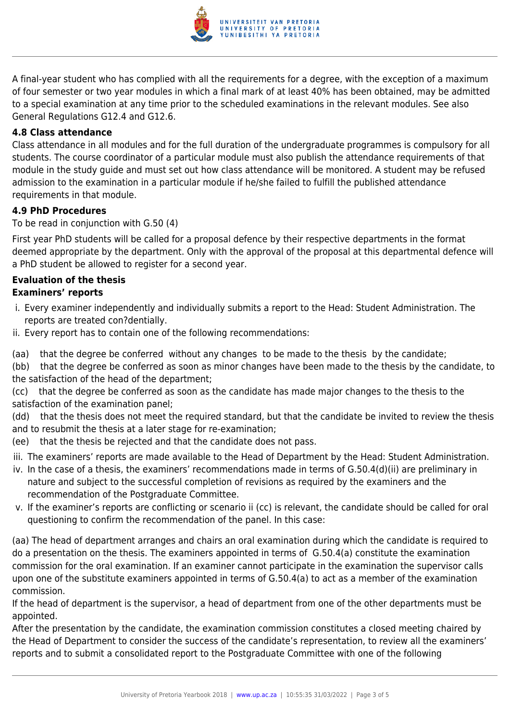

A final-year student who has complied with all the requirements for a degree, with the exception of a maximum of four semester or two year modules in which a final mark of at least 40% has been obtained, may be admitted to a special examination at any time prior to the scheduled examinations in the relevant modules. See also General Regulations G12.4 and G12.6.

#### **4.8 Class attendance**

Class attendance in all modules and for the full duration of the undergraduate programmes is compulsory for all students. The course coordinator of a particular module must also publish the attendance requirements of that module in the study guide and must set out how class attendance will be monitored. A student may be refused admission to the examination in a particular module if he/she failed to fulfill the published attendance requirements in that module.

#### **4.9 PhD Procedures**

To be read in conjunction with G.50 (4)

First year PhD students will be called for a proposal defence by their respective departments in the format deemed appropriate by the department. Only with the approval of the proposal at this departmental defence will a PhD student be allowed to register for a second year.

#### **Evaluation of the thesis Examiners' reports**

- i. Every examiner independently and individually submits a report to the Head: Student Administration. The reports are treated con?dentially.
- ii. Every report has to contain one of the following recommendations:
- (aa) that the degree be conferred without any changes to be made to the thesis by the candidate;
- (bb) that the degree be conferred as soon as minor changes have been made to the thesis by the candidate, to the satisfaction of the head of the department;

(cc) that the degree be conferred as soon as the candidate has made major changes to the thesis to the satisfaction of the examination panel;

(dd) that the thesis does not meet the required standard, but that the candidate be invited to review the thesis and to resubmit the thesis at a later stage for re-examination;

- (ee) that the thesis be rejected and that the candidate does not pass.
- iii. The examiners' reports are made available to the Head of Department by the Head: Student Administration.
- iv. In the case of a thesis, the examiners' recommendations made in terms of G.50.4(d)(ii) are preliminary in nature and subject to the successful completion of revisions as required by the examiners and the recommendation of the Postgraduate Committee.
- v. If the examiner's reports are conflicting or scenario ii (cc) is relevant, the candidate should be called for oral questioning to confirm the recommendation of the panel. In this case:

(aa) The head of department arranges and chairs an oral examination during which the candidate is required to do a presentation on the thesis. The examiners appointed in terms of G.50.4(a) constitute the examination commission for the oral examination. If an examiner cannot participate in the examination the supervisor calls upon one of the substitute examiners appointed in terms of G.50.4(a) to act as a member of the examination commission.

If the head of department is the supervisor, a head of department from one of the other departments must be appointed.

After the presentation by the candidate, the examination commission constitutes a closed meeting chaired by the Head of Department to consider the success of the candidate's representation, to review all the examiners' reports and to submit a consolidated report to the Postgraduate Committee with one of the following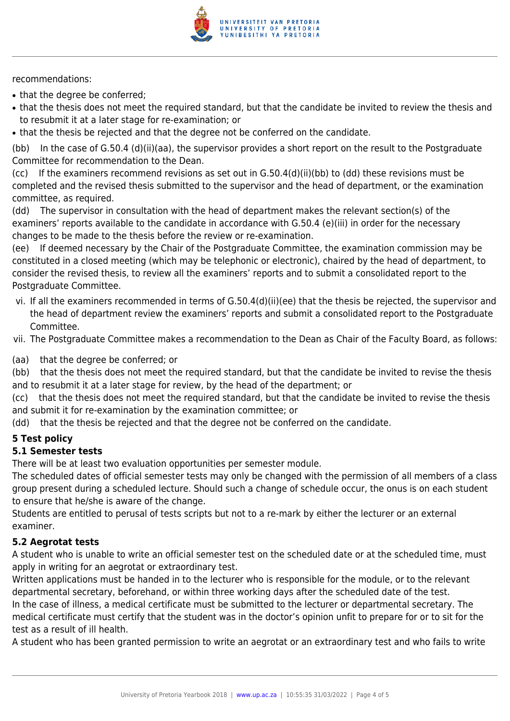

recommendations:

- that the degree be conferred;
- that the thesis does not meet the required standard, but that the candidate be invited to review the thesis and to resubmit it at a later stage for re-examination; or
- that the thesis be rejected and that the degree not be conferred on the candidate.

(bb) In the case of G.50.4 (d)(ii)(aa), the supervisor provides a short report on the result to the Postgraduate Committee for recommendation to the Dean.

(cc) If the examiners recommend revisions as set out in G.50.4(d)(ii)(bb) to (dd) these revisions must be completed and the revised thesis submitted to the supervisor and the head of department, or the examination committee, as required.

(dd) The supervisor in consultation with the head of department makes the relevant section(s) of the examiners' reports available to the candidate in accordance with G.50.4 (e)(iii) in order for the necessary changes to be made to the thesis before the review or re-examination.

(ee) If deemed necessary by the Chair of the Postgraduate Committee, the examination commission may be constituted in a closed meeting (which may be telephonic or electronic), chaired by the head of department, to consider the revised thesis, to review all the examiners' reports and to submit a consolidated report to the Postgraduate Committee.

vi. If all the examiners recommended in terms of G.50.4(d)(ii)(ee) that the thesis be rejected, the supervisor and the head of department review the examiners' reports and submit a consolidated report to the Postgraduate Committee.

vii. The Postgraduate Committee makes a recommendation to the Dean as Chair of the Faculty Board, as follows:

(aa) that the degree be conferred; or

(bb) that the thesis does not meet the required standard, but that the candidate be invited to revise the thesis and to resubmit it at a later stage for review, by the head of the department; or

(cc) that the thesis does not meet the required standard, but that the candidate be invited to revise the thesis and submit it for re-examination by the examination committee; or

(dd) that the thesis be rejected and that the degree not be conferred on the candidate.

# **5 Test policy**

#### **5.1 Semester tests**

There will be at least two evaluation opportunities per semester module.

The scheduled dates of official semester tests may only be changed with the permission of all members of a class group present during a scheduled lecture. Should such a change of schedule occur, the onus is on each student to ensure that he/she is aware of the change.

Students are entitled to perusal of tests scripts but not to a re-mark by either the lecturer or an external examiner.

#### **5.2 Aegrotat tests**

A student who is unable to write an official semester test on the scheduled date or at the scheduled time, must apply in writing for an aegrotat or extraordinary test.

Written applications must be handed in to the lecturer who is responsible for the module, or to the relevant departmental secretary, beforehand, or within three working days after the scheduled date of the test.

In the case of illness, a medical certificate must be submitted to the lecturer or departmental secretary. The medical certificate must certify that the student was in the doctor's opinion unfit to prepare for or to sit for the test as a result of ill health.

A student who has been granted permission to write an aegrotat or an extraordinary test and who fails to write